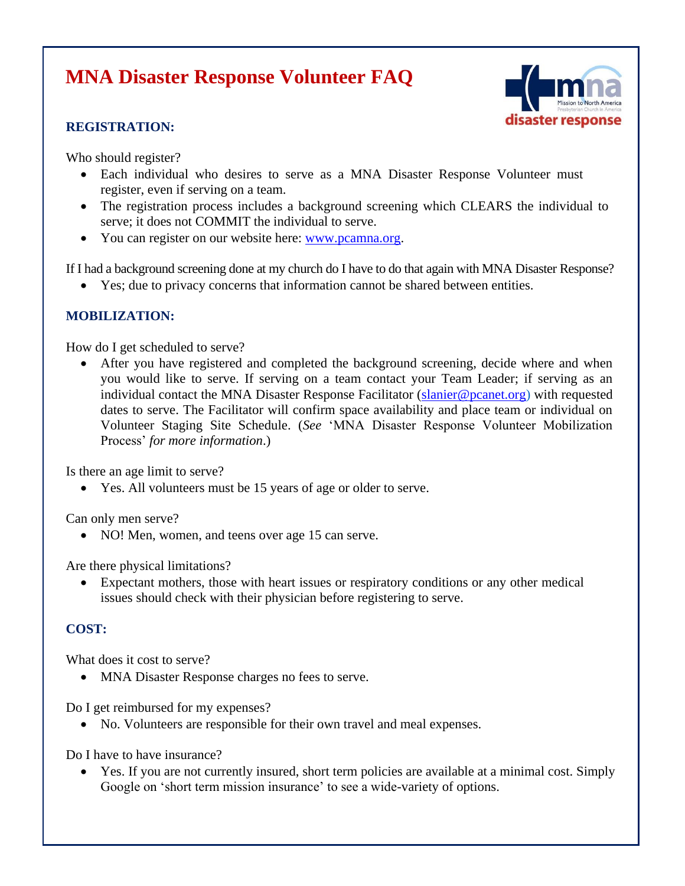# **MNA Disaster Response Volunteer FAQ**

#### **REGISTRATION:**



Who should register?

- Each individual who desires to serve as a MNA Disaster Response Volunteer must register, even if serving on a team.
- The registration process includes a background screening which CLEARS the individual to serve; it does not COMMIT the individual to serve.
- You can register on our website here: [www.pcamna.org.](http://www.pcamna.org/)

If I had a background screening done at my church do I have to do that again with MNA Disaster Response?

• Yes; due to privacy concerns that information cannot be shared between entities.

## **MOBILIZATION:**

How do I get scheduled to serve?

After you have registered and completed the background screening, decide where and when you would like to serve. If serving on a team contact your Team Leader; if serving as an individual contact the MNA Disaster Response Facilitator [\(slanier@pcanet.org\)](mailto:slanier@pcanet.org) with requested dates to serve. The Facilitator will confirm space availability and place team or individual on Volunteer Staging Site Schedule. (*See* 'MNA Disaster Response Volunteer Mobilization Process' *for more information*.)

Is there an age limit to serve?

• Yes. All volunteers must be 15 years of age or older to serve.

Can only men serve?

• NO! Men, women, and teens over age 15 can serve.

Are there physical limitations?

• Expectant mothers, those with heart issues or respiratory conditions or any other medical issues should check with their physician before registering to serve.

## **COST:**

What does it cost to serve?

• MNA Disaster Response charges no fees to serve.

Do I get reimbursed for my expenses?

• No. Volunteers are responsible for their own travel and meal expenses.

Do I have to have insurance?

• Yes. If you are not currently insured, short term policies are available at a minimal cost. Simply Google on 'short term mission insurance' to see a wide-variety of options.